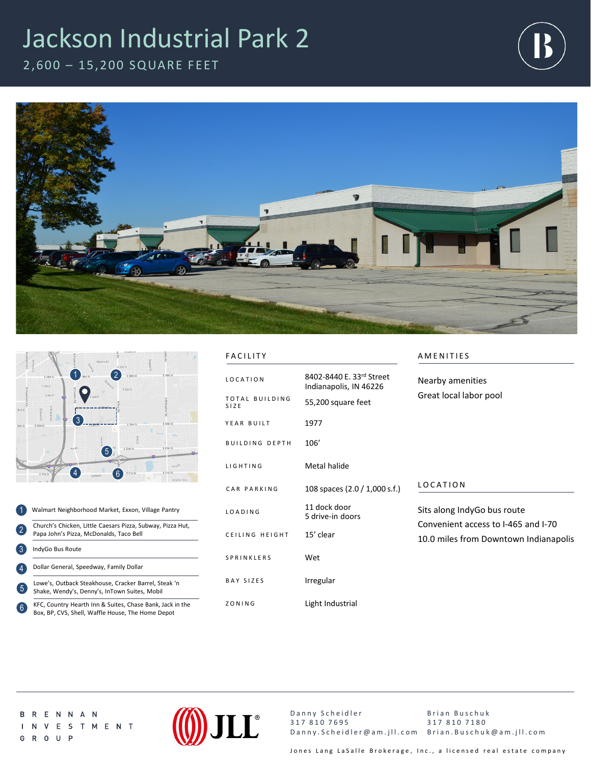## Jackson Industrial Park 2

2,600 – 15,200 SQUARE FEET







- 1 2 3 4 5 Walmart Neighborhood Market, Exxon, Village Pantry Church's Chicken, Little Caesars Pizza, Subway, Pizza Hut, Papa John's Pizza, McDonalds, Taco Bell IndyGo Bus Route Lowe's, Outback Steakhouse, Cracker Barrel, Steak 'n Shake, Wendy's, Denny's, InTown Suites, Mobil Dollar General, Speedway, Family Dollar
- KFC, Country Hearth Inn & Suites, Chase Bank, Jack in the Box, BP, CVS, Shell, Waffle House, The Home Depot 6

| Т |
|---|
|   |

| <b>FACILITY</b>                           |                                                                          | AMENITIES                                                                                                   |
|-------------------------------------------|--------------------------------------------------------------------------|-------------------------------------------------------------------------------------------------------------|
| <b>LOCATION</b><br>TOTAL BUILDING<br>SIZE | 8402-8440 E. 33rd Street<br>Indianapolis, IN 46226<br>55,200 square feet | Nearby amenities<br>Great local labor pool                                                                  |
| YEAR BUILT                                | 1977                                                                     |                                                                                                             |
| <b>BUILDING DEPTH</b>                     | 106'                                                                     |                                                                                                             |
| <b>LIGHTING</b>                           | Metal halide                                                             |                                                                                                             |
| CAR PARKING                               | 108 spaces (2.0 / 1,000 s.f.)                                            | LOCATION                                                                                                    |
| LOADING                                   | 11 dock door<br>5 drive-in doors                                         | Sits along IndyGo bus route<br>Convenient access to I-465 and I-70<br>10.0 miles from Downtown Indianapolis |
| CEILING HEIGHT                            | 15' clear                                                                |                                                                                                             |
| SPRINKLERS                                | Wet                                                                      |                                                                                                             |
| BAY SIZES                                 | Irregular                                                                |                                                                                                             |
| ZONING                                    | Light Industrial                                                         |                                                                                                             |

**BRENNAN** I N V E S T M E N T G R O U P



Danny Scheidler 317 810 7695 Danny.Scheidler@am.jll.com Brian.Buschuk@am.jll.com Brian Buschuk 317 810 7180

Jones Lang LaSalle Brokerage, Inc., a licensed real estate company